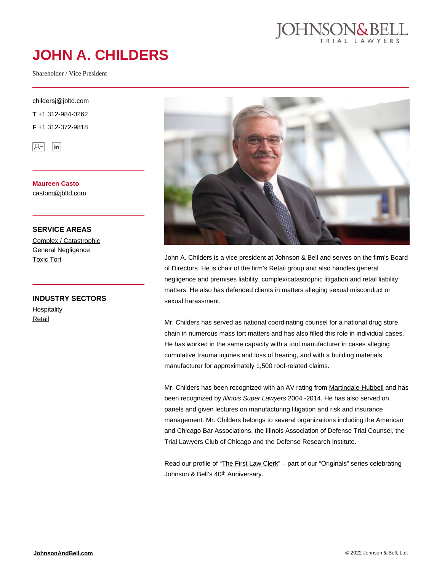

# **JOHN A. CHILDERS**

Shareholder / Vice President

#### [childersj@jbltd.com](mailto:childersj@jbltd.com)

**T** +1 312-984-0262

**F** +1 312-372-9818



**Maureen Casto** [castom@jbltd.com](mailto:castom@jbltd.com)

#### **SERVICE AREAS**

[Complex / Catastrophic](https://johnsonandbell.com/capability/complex-catastrophic/) [General Negligence](https://johnsonandbell.com/capability/general-negligence/) [Toxic Tort](https://johnsonandbell.com/capability/toxic-tort/)

**INDUSTRY SECTORS [Hospitality](https://johnsonandbell.com/capability/hospitality/)** [Retail](https://johnsonandbell.com/capability/retail/)



John A. Childers is a vice president at Johnson & Bell and serves on the firm's Board of Directors. He is chair of the firm's Retail group and also handles general negligence and premises liability, complex/catastrophic litigation and retail liability matters. He also has defended clients in matters alleging sexual misconduct or sexual harassment.

Mr. Childers has served as national coordinating counsel for a national drug store chain in numerous mass tort matters and has also filled this role in individual cases. He has worked in the same capacity with a tool manufacturer in cases alleging cumulative trauma injuries and loss of hearing, and with a building materials manufacturer for approximately 1,500 roof-related claims.

Mr. Childers has been recognized with an AV rating from [Martindale-Hubbell](https://www.martindale.com/chicago/illinois/john-a-childers-923829-a/) and has been recognized by Illinois Super Lawyers 2004 -2014. He has also served on panels and given lectures on manufacturing litigation and risk and insurance management. Mr. Childers belongs to several organizations including the American and Chicago Bar Associations, the Illinois Association of Defense Trial Counsel, the Trial Lawyers Club of Chicago and the Defense Research Institute.

Read our profile of ["The First Law Clerk](https://johnsonandbell.com/wp-content/uploads/2015/08/The-Originals_JAC.pdf)" – part of our "Originals" series celebrating Johnson & Bell's 40th Anniversary.